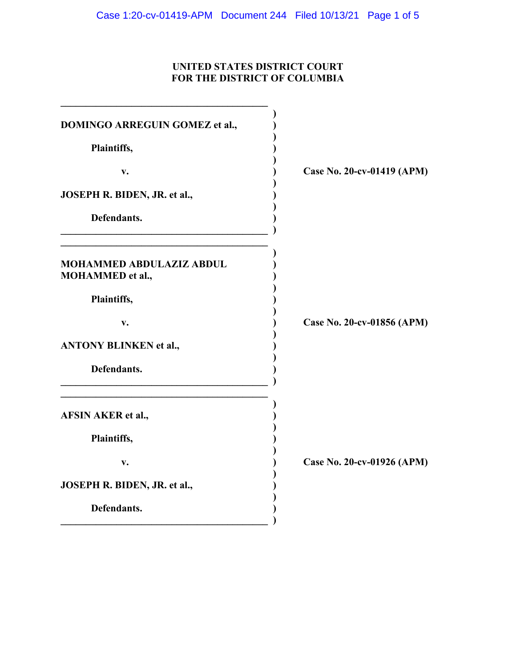## **UNITED STATES DISTRICT COURT FOR THE DISTRICT OF COLUMBIA**

| DOMINGO ARREGUIN GOMEZ et al.,                             |                            |
|------------------------------------------------------------|----------------------------|
| Plaintiffs,                                                |                            |
| v.                                                         | Case No. 20-cv-01419 (APM) |
| JOSEPH R. BIDEN, JR. et al.,                               |                            |
| Defendants.                                                |                            |
| <b>MOHAMMED ABDULAZIZ ABDUL</b><br><b>MOHAMMED</b> et al., |                            |
| Plaintiffs,                                                |                            |
| v.                                                         | Case No. 20-cv-01856 (APM) |
| <b>ANTONY BLINKEN et al.,</b>                              |                            |
| Defendants.                                                |                            |
| <b>AFSIN AKER et al.,</b>                                  |                            |
| Plaintiffs,                                                |                            |
| v.                                                         | Case No. 20-cv-01926 (APM) |
| JOSEPH R. BIDEN, JR. et al.,                               |                            |
| Defendants.                                                |                            |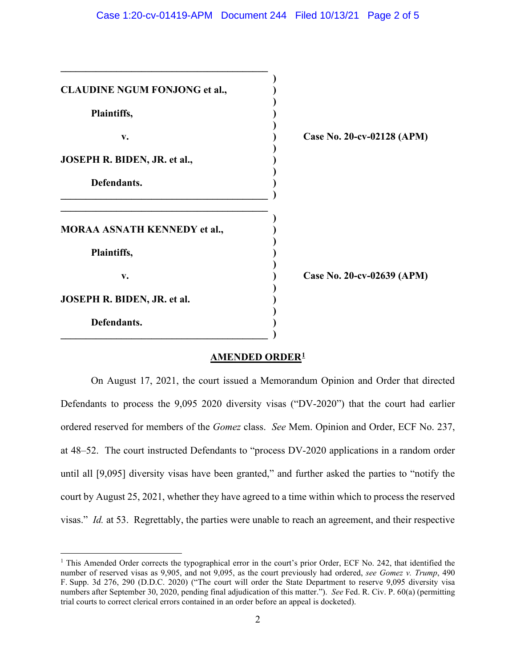| <b>CLAUDINE NGUM FONJONG et al.,</b> |                            |
|--------------------------------------|----------------------------|
| Plaintiffs,                          |                            |
| v.                                   | Case No. 20-cv-02128 (APM) |
| JOSEPH R. BIDEN, JR. et al.,         |                            |
| Defendants.                          |                            |
| <b>MORAA ASNATH KENNEDY et al.,</b>  |                            |
| Plaintiffs,                          |                            |
| v.                                   | Case No. 20-cv-02639 (APM) |
| JOSEPH R. BIDEN, JR. et al.          |                            |
| Defendants.                          |                            |
|                                      |                            |

### **AMENDED ORDER1**

On August 17, 2021, the court issued a Memorandum Opinion and Order that directed Defendants to process the 9,095 2020 diversity visas ("DV-2020") that the court had earlier ordered reserved for members of the *Gomez* class. *See* Mem. Opinion and Order, ECF No. 237, at 48–52. The court instructed Defendants to "process DV-2020 applications in a random order until all [9,095] diversity visas have been granted," and further asked the parties to "notify the court by August 25, 2021, whether they have agreed to a time within which to process the reserved visas." *Id.* at 53. Regrettably, the parties were unable to reach an agreement, and their respective

<sup>&</sup>lt;sup>1</sup> This Amended Order corrects the typographical error in the court's prior Order, ECF No. 242, that identified the number of reserved visas as 9,905, and not 9,095, as the court previously had ordered, *see Gomez v. Trump*, 490 F. Supp. 3d 276, 290 (D.D.C. 2020) ("The court will order the State Department to reserve 9,095 diversity visa numbers after September 30, 2020, pending final adjudication of this matter."). *See* Fed. R. Civ. P. 60(a) (permitting trial courts to correct clerical errors contained in an order before an appeal is docketed).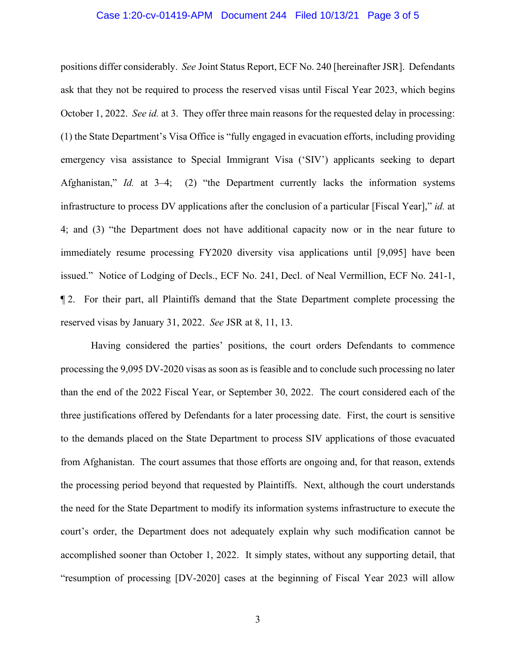#### Case 1:20-cv-01419-APM Document 244 Filed 10/13/21 Page 3 of 5

positions differ considerably. *See* Joint Status Report, ECF No. 240 [hereinafter JSR]. Defendants ask that they not be required to process the reserved visas until Fiscal Year 2023, which begins October 1, 2022. *See id.* at 3. They offer three main reasons for the requested delay in processing: (1) the State Department's Visa Office is "fully engaged in evacuation efforts, including providing emergency visa assistance to Special Immigrant Visa ('SIV') applicants seeking to depart Afghanistan," *Id.* at 3–4; (2) "the Department currently lacks the information systems infrastructure to process DV applications after the conclusion of a particular [Fiscal Year]," *id.* at 4; and (3) "the Department does not have additional capacity now or in the near future to immediately resume processing FY2020 diversity visa applications until [9,095] have been issued." Notice of Lodging of Decls., ECF No. 241, Decl. of Neal Vermillion, ECF No. 241-1, ¶ 2. For their part, all Plaintiffs demand that the State Department complete processing the reserved visas by January 31, 2022. *See* JSR at 8, 11, 13.

Having considered the parties' positions, the court orders Defendants to commence processing the 9,095 DV-2020 visas as soon as is feasible and to conclude such processing no later than the end of the 2022 Fiscal Year, or September 30, 2022. The court considered each of the three justifications offered by Defendants for a later processing date. First, the court is sensitive to the demands placed on the State Department to process SIV applications of those evacuated from Afghanistan. The court assumes that those efforts are ongoing and, for that reason, extends the processing period beyond that requested by Plaintiffs. Next, although the court understands the need for the State Department to modify its information systems infrastructure to execute the court's order, the Department does not adequately explain why such modification cannot be accomplished sooner than October 1, 2022. It simply states, without any supporting detail, that "resumption of processing [DV-2020] cases at the beginning of Fiscal Year 2023 will allow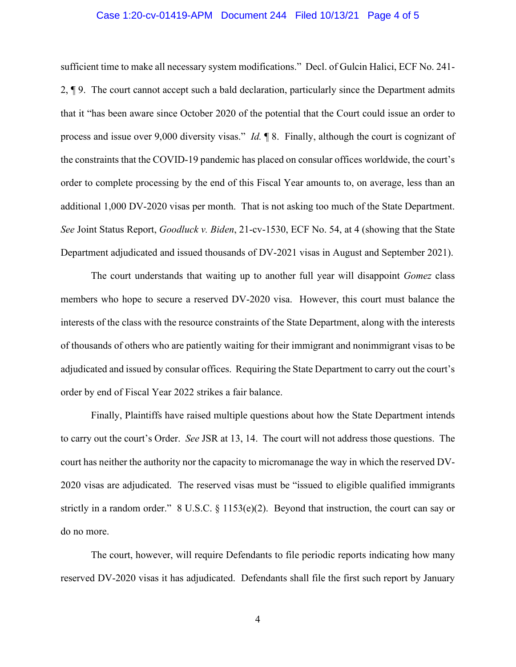#### Case 1:20-cv-01419-APM Document 244 Filed 10/13/21 Page 4 of 5

sufficient time to make all necessary system modifications." Decl. of Gulcin Halici, ECF No. 241- 2, ¶ 9. The court cannot accept such a bald declaration, particularly since the Department admits that it "has been aware since October 2020 of the potential that the Court could issue an order to process and issue over 9,000 diversity visas." *Id.* ¶ 8. Finally, although the court is cognizant of the constraints that the COVID-19 pandemic has placed on consular offices worldwide, the court's order to complete processing by the end of this Fiscal Year amounts to, on average, less than an additional 1,000 DV-2020 visas per month. That is not asking too much of the State Department. *See* Joint Status Report, *Goodluck v. Biden*, 21-cv-1530, ECF No. 54, at 4 (showing that the State Department adjudicated and issued thousands of DV-2021 visas in August and September 2021).

The court understands that waiting up to another full year will disappoint *Gomez* class members who hope to secure a reserved DV-2020 visa. However, this court must balance the interests of the class with the resource constraints of the State Department, along with the interests of thousands of others who are patiently waiting for their immigrant and nonimmigrant visas to be adjudicated and issued by consular offices. Requiring the State Department to carry out the court's order by end of Fiscal Year 2022 strikes a fair balance.

Finally, Plaintiffs have raised multiple questions about how the State Department intends to carry out the court's Order. *See* JSR at 13, 14. The court will not address those questions. The court has neither the authority nor the capacity to micromanage the way in which the reserved DV-2020 visas are adjudicated. The reserved visas must be "issued to eligible qualified immigrants strictly in a random order." 8 U.S.C. § 1153(e)(2). Beyond that instruction, the court can say or do no more.

The court, however, will require Defendants to file periodic reports indicating how many reserved DV-2020 visas it has adjudicated. Defendants shall file the first such report by January